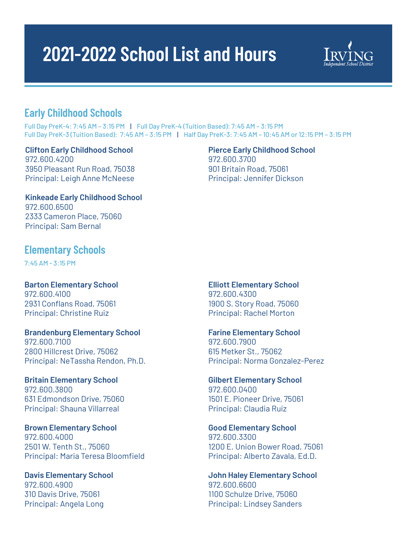# **2021-2022 School List and Hours**



## **Early Childhood Schools**

Full Day PreK-4: 7:45 AM – 3:15 PM | Full Day PreK-4 (Tuition Based): 7:45 AM – 3:15 PM Full Day PreK-3 (Tuition Based): 7:45 AM – 3:15 PM | Half Day PreK-3: 7:45 AM – 10:45 AM or 12:15 PM – 3:15 PM

**Clifton Early Childhood School** 972.600.4200 3950 Pleasant Run Road, 75038 Principal: Leigh Anne McNeese

**Pierce Early Childhood School** 972.600.3700 901 Britain Road, 75061 Principal: Jennifer Dickson

**Kinkeade Early Childhood School** 972.600.6500 2333 Cameron Place, 75060 Principal: Sam Bernal

## **Elementary Schools**

7:45 AM - 3:15 PM

**Barton Elementary School** 972.600.4100 2931 Conflans Road, 75061 Principal: Christine Ruiz

**Brandenburg Elementary School**  972.600.7100 2800 Hillcrest Drive, 75062 Principal: NeTassha Rendon, Ph.D.

**Britain Elementary School** 972.600.3800 631 Edmondson Drive, 75060 Principal: Shauna Villarreal

**Brown Elementary School** 972.600.4000 2501 W. Tenth St., 75060 Principal: Maria Teresa Bloomfield

**Davis Elementary School** 972.600.4900 310 Davis Drive, 75061 Principal: Angela Long

**Elliott Elementary School**  972.600.4300 1900 S. Story Road, 75060 Principal: Rachel Morton

**Farine Elementary School** 972.600.7900 615 Metker St., 75062 Principal: Norma Gonzalez-Perez

**Gilbert Elementary School** 972.600.0400 1501 E. Pioneer Drive, 75061 Principal: Claudia Ruiz

**Good Elementary School** 972.600.3300 1200 E. Union Bower Road, 75061 Principal: Alberto Zavala, Ed.D.

**John Haley Elementary School** 972.600.6600 1100 Schulze Drive, 75060 Principal: Lindsey Sanders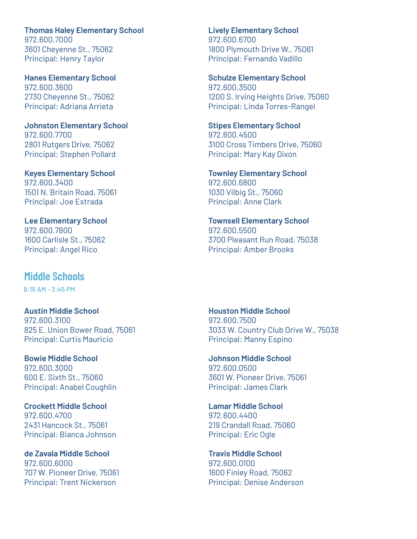**Thomas Haley Elementary School** 972.600.7000 3601 Cheyenne St., 75062 Principal: Henry Taylor

**Hanes Elementary School** 972.600.3600 2730 Cheyenne St., 75062 Principal: Adriana Arrieta

**Johnston Elementary School** 972.600.7700 2801 Rutgers Drive, 75062 Principal: Stephen Pollard

**Keyes Elementary School** 972.600.3400 1501 N. Britain Road, 75061 Principal: Joe Estrada

**Lee Elementary School** 972.600.7800 1600 Carlisle St., 75062 Principal: Angel Rico

## **Middle Schools**

8:15 AM - 3:45 PM

**Austin Middle School** 972.600.3100 825 E. Union Bower Road, 75061 Principal: Curtis Mauricio

**Bowie Middle School** 972.600.3000 600 E. Sixth St., 75060 Principal: Anabel Coughlin

**Crockett Middle School** 972.600.4700 2431 Hancock St., 75061 Principal: Bianca Johnson

**de Zavala Middle School** 972.600.6000 707 W. Pioneer Drive, 75061 Principal: Trent Nickerson

**Lively Elementary School** 972.600.6700 1800 Plymouth Drive W., 75061 Principal: Fernando Vadillo

**Schulze Elementary School** 972.600.3500 1200 S. Irving Heights Drive, 75060 Principal: Linda Torres-Rangel

**Stipes Elementary School** 972.600.4500 3100 Cross Timbers Drive, 75060 Principal: Mary Kay Dixon

**Townley Elementary School** 972.600.6800 1030 Vilbig St., 75060 Principal: Anne Clark

**Townsell Elementary School** 972.600.5500 3700 Pleasant Run Road, 75038 Principal: Amber Brooks

**Houston Middle School** 972.600.7500 3033 W. Country Club Drive W., 75038 Principal: Manny Espino

**Johnson Middle School** 972.600.0500 3601 W. Pioneer Drive, 75061 Principal: James Clark

**Lamar Middle School** 972.600.4400 219 Crandall Road, 75060 Principal: Eric Ogle

**Travis Middle School** 972.600.0100 1600 Finley Road, 75062 Principal: Denise Anderson